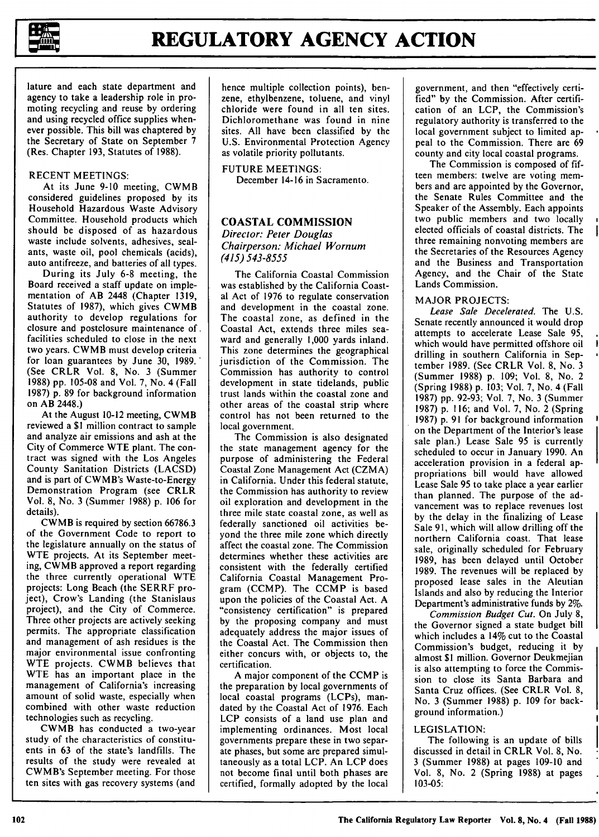

**1-**

lature and each state department and agency to take a leadership role in promoting recycling and reuse by ordering and using recycled office supplies whenever possible. This bill was chaptered by the Secretary of State on September 7 (Res. Chapter 193, Statutes of 1988).

# RECENT MEETINGS:

At its June 9-10 meeting, CWMB considered guidelines proposed by its Household Hazardous Waste Advisory Committee. Household products which should be disposed of as hazardous waste include solvents, adhesives, sealants, waste oil, pool chemicals (acids), auto antifreeze, and batteries of all types.

During its July 6-8 meeting, the Board received a staff update on implementation of AB 2448 (Chapter 1319, Statutes of 1987), which gives CWMB authority to develop regulations for closure and postclosure maintenance of. facilities scheduled to close in the next two years. CWMB must develop criteria for loan guarantees by June 30, 1989. (See CRLR Vol. 8, No. 3 (Summer 1988) pp. 105-08 and Vol. 7, No. 4 (Fall 1987) p. 89 for background information on AB 2448.)

At the August 10-12 meeting, CWMB reviewed a \$1 million contract to sample and analyze air emissions and ash at the City of Commerce WTE plant. The contract was signed with the Los Angeles County Sanitation Districts (LACSD) and is part of CWMB's Waste-to-Energy Demonstration Program (see CRLR Vol. 8, No. 3 (Summer 1988) p. 106 for details).

CWMB is required by section 66786.3 of the Government Code to report to the legislature annually on the status of WTE projects. At its September meeting, CWMB approved a report regarding the three currently operational WTE projects: Long Beach (the SERRF project), Crow's Landing (the Stanislaus project), and the City of Commerce. Three other projects are actively seeking permits. The appropriate classification and management of ash residues is the major environmental issue confronting WTE projects. CWMB believes that WTE has an important place in the management of California's increasing amount of solid waste, especially when combined with other waste reduction technologies such as recycling.

CWMB has conducted a two-year study of the characteristics of constituents in 63 of the state's landfills. The results of the study were revealed at CWMB's September meeting. For those ten sites with gas recovery systems (and hence multiple collection points), benzene, ethylbenzene, toluene, and vinyl chloride were found in all ten sites. Dichloromethane was found in nine sites. All have been classified by the U.S. Environmental Protection Agency as volatile priority pollutants.

# FUTURE MEETINGS:

December 14-16 in Sacramento.

### **COASTAL** COMMISSION

# *Director: Peter Douglas Chairperson: Michael Wornum (415) 543-8555*

The California Coastal Commission was established by the California Coastal Act of 1976 to regulate conservation and development in the coastal zone. The coastal zone, as defined in the Coastal Act, extends three miles seaward and generally 1,000 yards inland. This zone determines the geographical jurisdiction of the Commission. The Commission has authority to control development in state tidelands, public trust lands within the coastal zone and other areas of the coastal strip where control has not been returned to the local government.

The Commission is also designated the state management agency for the purpose of administering the Federal Coastal Zone Management Act (CZMA) in California. Under this federal statute, the Commission has authority to review oil exploration and development in the three mile state coastal zone, as well as federally sanctioned oil activities beyond the three mile zone which directly affect the coastal zone. The Commission determines whether these activities are consistent with the federally certified California Coastal Management Program (CCMP). The CCMP is based upon the policies of the Coastal Act. A "consistency certification" is prepared by the proposing company and must adequately address the major issues of the Coastal Act. The Commission then either concurs with, or objects to, the certification.

A major component of the CCMP is the preparation by local governments of local coastal programs (LCPs), mandated by the Coastal Act of 1976. Each LCP consists of a land use plan and implementing ordinances. Most local governments prepare these in two separate phases, but some are prepared simultaneously as a total LCP. An LCP does not become final until both phases are certified, formally adopted by the local government, and then "effectively certified" by the Commission. After certification of an LCP, the Commission's regulatory authority is transferred to the local government subject to limited appeal to the Commission. There are 69 county and city local coastal programs.

The Commission is composed of fifteen members: twelve are voting members and are appointed by the Governor, the Senate Rules Committee and the Speaker of the Assembly. Each appoints two public members and two locally elected officials of coastal districts. The three remaining nonvoting members are the Secretaries of the Resources Agency and the Business and Transportation Agency, and the Chair of the State Lands Commission.

### MAJOR **PROJECTS:**

*Lease Sale Decelerated.* The U.S. Senate recently announced it would drop attempts to accelerate Lease Sale 95, which would have permitted offshore oil drilling in southern California in September 1989. (See CRLR Vol. 8, No. 3 (Summer 1988) p. 109; Vol. 8, No. 2 (Spring 1988) p. 103; Vol. 7, No. 4 (Fall 1987) pp. 92-93; Vol. 7, No. 3 (Summer 1987) p. 116; and Vol. 7, No. 2 (Spring 1987) p. 91 for background information on the Department of the Interior's lease sale plan.) Lease Sale 95 is currently scheduled to occur in January 1990. An acceleration provision in a federal appropriations bill would have allowed Lease Sale 95 to take place a year earlier than planned. The purpose of the advancement was to replace revenues lost by the delay in the finalizing of Lease Sale 91, which will allow drilling off the northern California coast. That lease sale, originally scheduled for February 1989, has been delayed until October 1989. The revenues will be replaced by proposed lease sales in the Aleutian Islands and also by reducing the Interior Department's administrative funds by 2%.

*Commission Budget Cut.* On July 8, the Governor signed a state budget bill which includes a 14% cut to the Coastal Commission's budget, reducing it by almost **\$1** million. Governor Deukmejian is also attempting to force the Commission to close its Santa Barbara and Santa Cruz offices. (See CRLR Vol. 8, No. 3 (Summer 1988) p. 109 for background information.)

### **LEGISLATION:**

The following is an update of bills discussed in detail in CRLR Vol. 8, No. 3 (Summer 1988) at pages 109-10 and Vol. 8, No. 2 (Spring 1988) at pages 103-05: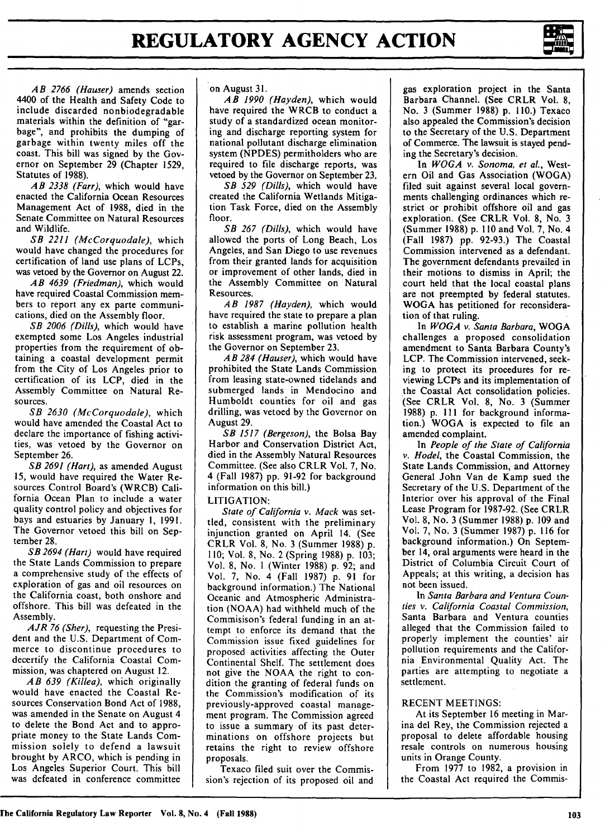*AB 2766 (Hauser)* amends section 4400 of the Health and Safety Code to include discarded nonbiodegradable materials within the definition of "garbage", and prohibits the dumping of garbage within twenty miles off the coast. This bill was signed by the Governor on September 29 (Chapter 1529, Statutes of 1988).

*AB 2338 (Farr),* which would have enacted the California Ocean Resources Management Act of 1988, died in the Senate Committee on Natural Resources and Wildlife.

*SB 2211 (McCorquodale),* which would have changed the procedures for certification of land use plans of LCPs, was vetoed by the Governor on August 22.

*AB 4639 (Friedman),* which would have required Coastal Commission members to report any ex parte communications, died on the Assembly floor.

*SB 2006* (Dills), which would have exempted some Los Angeles industrial properties from the requirement of obtaining a coastal development permit from the City of Los Angeles prior to certification of its LCP, died in the Assembly Committee on Natural Resources.

SB *2630 (McCorquodale),* which would have amended the Coastal Act to declare the importance of fishing activities, was vetoed by the Governor on September 26.

*SB 2691 (Hart),* as amended August 15, would have required the Water Resources Control Board's (WRCB) California Ocean Plan to include a water quality control policy and objectives for bays and estuaries by January 1, 1991. The Governor vetoed this bill on September 28.

*SB 2694 (Hart)* would have required the State Lands Commission to prepare a comprehensive study of the effects of exploration of gas and oil resources on the California coast, both onshore and offshore. This bill was defeated in the Assembly.

*AJR 76 (Sher),* requesting the President and the U.S. Department of Commerce to discontinue procedures to decertify the California Coastal Commission, was chaptered on August 12.

*AB 639 (Killea),* which originally would have enacted the Coastal Resources Conservation Bond Act of 1988, was amended in the Senate on August 4 to delete the Bond Act and to appropriate money to the State Lands Commission solely to defend a lawsuit brought by ARCO, which is pending in Los Angeles Superior Court. This bill was defeated in conference committee

### on August 31.

*AB 1990 (Hayden),* which would have required the WRCB to conduct a study of a standardized ocean monitoring and discharge reporting system for national pollutant discharge elimination system (NPDES) permitholders who are required to file discharge reports, was vetoed by the Governor on September 23.

*SB 529 (Dills),* which would have created the California Wetlands Mitigation Task Force, died on the Assembly floor.

*SB 267* (Dills), which would have allowed the ports of Long Beach, Los Angeles, and San Diego to use revenues from their granted lands for acquisition or improvement of other lands, died in the Assembly Committee on Natural Resources.

*AB 1987 (Hayden),* which would have required the state to prepare a plan to establish a marine pollution health risk assessment program, was vetoed by the Governor on September 23.

*AB 284 (Hauser),* which would have prohibited. the State Lands Commission from leasing state-owned tidelands and submerged lands in Mendocino and Humboldt counties for oil and gas drilling, was vetoed by the Governor on August 29.

*SB 1517 (Bergeson),* the Bolsa Bay Harbor and Conservation District Act, died in the Assembly Natural Resources Committee. (See also CRLR Vol. 7, No. 4 (Fall 1987) pp. 91-92 for background information on this bill.)

### LITIGATION:

*State of California v. Mack* was settled, consistent with the preliminary injunction granted on April 14. (See CRLR Vol. 8, No. 3 (Summer 1988) p. 110; Vol. 8, No. 2 (Spring 1988) p. 103; Vol. 8, No. **I** (Winter 1988) p. 92; and Vol. 7, No. 4 (Fall 1987) p. 91 for background information.) The National Oceanic and Atmospheric Administration (NOAA) had withheld much of the Commisison's federal funding in an attempt to enforce its demand that the Commission issue fixed guidelines for proposed activities affecting the Outer Continental Shelf. The settlement does not give the NOAA the right to condition the granting of federal funds on the Commission's modification of its previously-approved coastal management program. The Commission agreed to issue a summary of its past determinations on offshore projects but retains the right to review offshore proposals.

Texaco filed suit over the Commission's rejection of its proposed oil and

gas exploration project in the Santa Barbara Channel. (See CRLR Vol. **8,** No. **3** (Summer 1988) **p.** 110.) Texaco also appealed the Commission's decision to the Secretary of the U.S. Department of Commerce. The lawsuit is stayed pending the Secretary's decision.

In *WOGA v. Sonoma, et al.,* West**ern** Oil and Gas Association (WOGA) filed suit against several local governments challenging ordinances which restrict or prohibit offshore oil and gas exploration. (See CRLR Vol. 8, No. 3 (Summer 1988) **p. 110** and Vol. 7, No. 4 (Fall 1987) **pp.** 92-93.) The Coastal Commission intervened as a defendant. The government defendants prevailed in their motions to dismiss in April; the court held that the local coastal plans are not preempted by federal statutes. WOGA has petitioned for reconsideration of that ruling.

In *WOGA v. Santa Barbara,* WOGA challenges a proposed consolidation amendment to Santa Barbara County's LCP. The Commission intervened, seeking to protect its procedures for reviewing LCPs and its implementation of the Coastal Act consolidation policies. (See CRLR Vol. 8, No. 3 (Summer 1988) p. 111 for background information.) WOGA is expected to file an amended complaint.

In *People of the State of California v. Hodel,* the Coastal Commission, the State Lands Commission, and Attorney General John Van de Kamp sued the Secretary of the U.S. Department of the Interior over his approval of the Final Lease Program for 1987-92. (See CRLR Vol. 8, No. 3 (Summer 1988) **p.** 109 and Vol. 7, No. 3 (Summer 1987) p. 116 for background information.) On September 14, oral arguments were heard in the District of Columbia Circuit Court of Appeals; at this writing, a decision has not been issued.

In *Santa Barbara and Ventura Counties v. California Coastal Commission,* Santa Barbara and Ventura counties alleged that the Commission failed to properly implement the counties' air pollution requirements and the California Environmental Quality Act. The parties are attempting to negotiate a settlement.

### RECENT MEETINGS:

At its September 16 meeting in Marina del Rey, the Commission rejected a proposal to delete affordable housing resale controls on numerous housing units in Orange County.

From 1977 to 1982, a provision in the Coastal Act required the Commis-